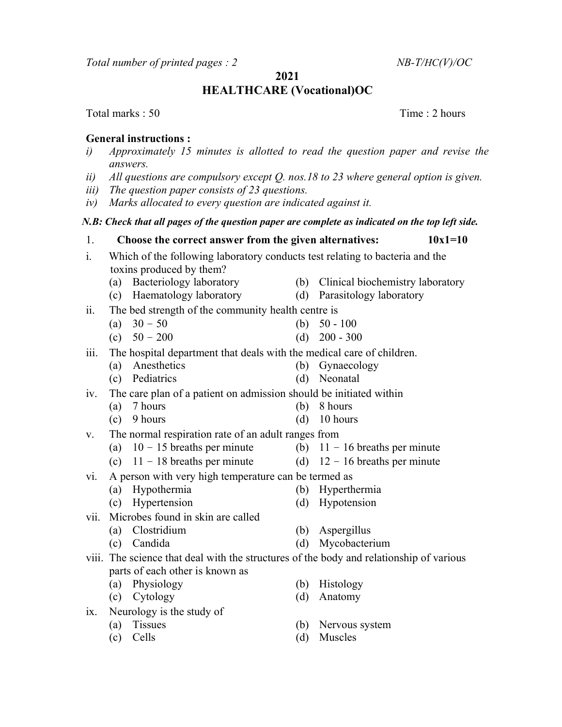Total number of printed pages :  $2$  NB-T/HC(V)/OC

2021

# HEALTHCARE (Vocational)OC

Total marks : 50 Total marks : 50 Total marks : 50 Total marks : 2 hours

# General instructions :

- i) Approximately 15 minutes is allotted to read the question paper and revise the answers.
- ii) All questions are compulsory except  $Q$ . nos. 18 to 23 where general option is given.
- iii) The question paper consists of 23 questions.
- iv) Marks allocated to every question are indicated against it.

### N.B: Check that all pages of the question paper are complete as indicated on the top left side.

- 1. Choose the correct answer from the given alternatives:  $10x1=10$ i. Which of the following laboratory conducts test relating to bacteria and the toxins produced by them?
	- (a) Bacteriology laboratory (b) Clinical biochemistry laboratory
	- (c) Haematology laboratory (d) Parasitology laboratory
		-
- ii. The bed strength of the community health centre is
	-
- iii. The hospital department that deals with the medical care of children.
	- (a) Anesthetics (b) Gynaecology
	- (c) Pediatrics (d) Neonatal
- iv. The care plan of a patient on admission should be initiated within
	- (a) 7 hours (b) 8 hours
	- (c)  $9 \text{ hours}$  (d)  $10 \text{ hours}$
- v. The normal respiration rate of an adult ranges from
	- (a)  $10 15$  breaths per minute (b)  $11 16$  breaths per minute
		-
	- (c)  $11 18$  breaths per minute (d)  $12 16$  breaths per minute
- vi. A person with very high temperature can be termed as
	- (a) Hypothermia (b) Hyperthermia
	- (c) Hypertension (d) Hypotension
- 
- vii. Microbes found in skin are called
	- (a) Clostridium (b) Aspergillus
	- (c) Candida (d) Mycobacterium
- viii. The science that deal with the structures of the body and relationship of various parts of each other is known as
	- (a) Physiology (b) Histology
	- (c) Cytology (d) Anatomy
- ix. Neurology is the study of
	-
	-
- 
- 
- (a) Tissues (b) Nervous system
- (c) Cells (d) Muscles

- 
- 
- (a)  $30 50$  (b)  $50 100$
- (c)  $50 200$  (d)  $200 300$ 
	-
	-
	-
	- -
	-
	- - -
			-
			-

- -
	-
- 
- 
-